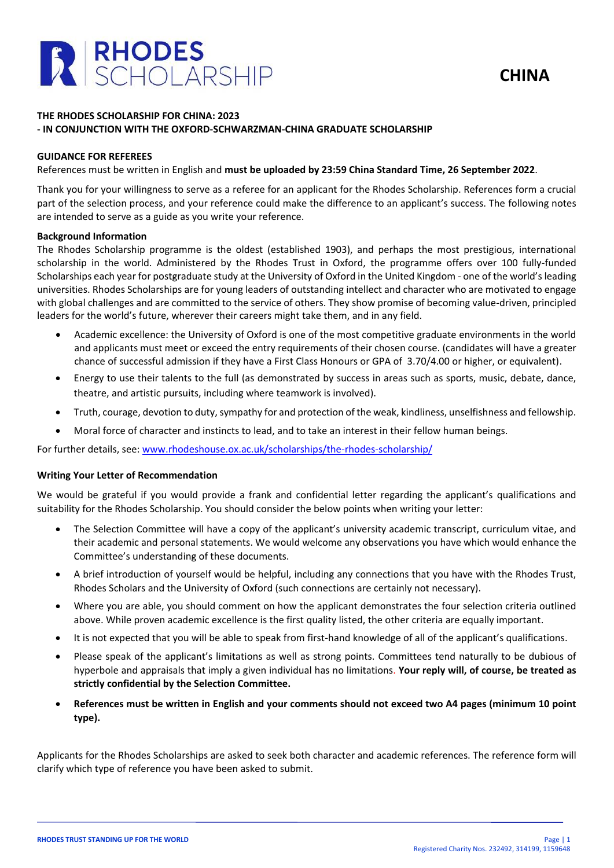



# **THE RHODES SCHOLARSHIP FOR CHINA: 2023 - IN CONJUNCTION WITH THE OXFORD-SCHWARZMAN-CHINA GRADUATE SCHOLARSHIP**

# **GUIDANCE FOR REFEREES**

References must be written in English and **must be uploaded by 23:59 China Standard Time, 26 September 2022**.

Thank you for your willingness to serve as a referee for an applicant for the Rhodes Scholarship. References form a crucial part of the selection process, and your reference could make the difference to an applicant's success. The following notes are intended to serve as a guide as you write your reference.

### **Background Information**

The Rhodes Scholarship programme is the oldest (established 1903), and perhaps the most prestigious, international scholarship in the world. Administered by the Rhodes Trust in Oxford, the programme offers over 100 fully-funded Scholarships each year for postgraduate study at the University of Oxford in the United Kingdom - one of the world's leading universities. Rhodes Scholarships are for young leaders of outstanding intellect and character who are motivated to engage with global challenges and are committed to the service of others. They show promise of becoming value-driven, principled leaders for the world's future, wherever their careers might take them, and in any field.

- Academic excellence: the University of Oxford is one of the most competitive graduate environments in the world and applicants must meet or exceed the entry requirements of their chosen course. (candidates will have a greater chance of successful admission if they have a First Class Honours or GPA of 3.70/4.00 or higher, or equivalent).
- Energy to use their talents to the full (as demonstrated by success in areas such as sports, music, debate, dance, theatre, and artistic pursuits, including where teamwork is involved).
- Truth, courage, devotion to duty, sympathy for and protection of the weak, kindliness, unselfishness and fellowship.
- Moral force of character and instincts to lead, and to take an interest in their fellow human beings.

For further details, see: [www.rhodeshouse.ox.ac.uk/scholarships/the-rhodes-scholarship/](http://www.rhodeshouse.ox.ac.uk/scholarships/the-rhodes-scholarship/)

#### **Writing Your Letter of Recommendation**

We would be grateful if you would provide a frank and confidential letter regarding the applicant's qualifications and suitability for the Rhodes Scholarship. You should consider the below points when writing your letter:

- The Selection Committee will have a copy of the applicant's university academic transcript, curriculum vitae, and their academic and personal statements. We would welcome any observations you have which would enhance the Committee's understanding of these documents.
- A brief introduction of yourself would be helpful, including any connections that you have with the Rhodes Trust, Rhodes Scholars and the University of Oxford (such connections are certainly not necessary).
- Where you are able, you should comment on how the applicant demonstrates the four selection criteria outlined above. While proven academic excellence is the first quality listed, the other criteria are equally important.
- It is not expected that you will be able to speak from first-hand knowledge of all of the applicant's qualifications.
- Please speak of the applicant's limitations as well as strong points. Committees tend naturally to be dubious of hyperbole and appraisals that imply a given individual has no limitations. **Your reply will, of course, be treated as strictly confidential by the Selection Committee.**
- **References must be written in English and your comments should not exceed two A4 pages (minimum 10 point type).**

Applicants for the Rhodes Scholarships are asked to seek both character and academic references. The reference form will clarify which type of reference you have been asked to submit.